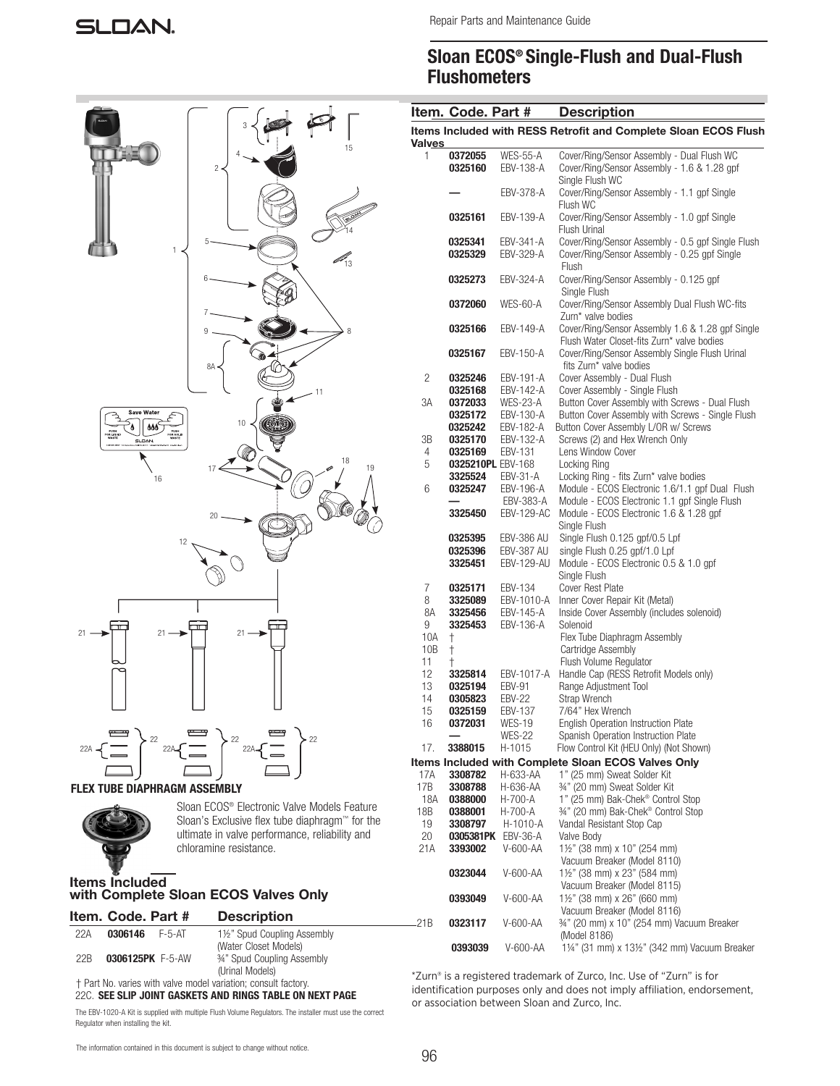## Sloan ECOS® Single-Flush and Dual-Flush **Flushometers**

|       |               | Item. Code. Part #        |                              | <b>Description</b>                                                                                           |
|-------|---------------|---------------------------|------------------------------|--------------------------------------------------------------------------------------------------------------|
|       | <b>Valves</b> |                           |                              | Items Included with RESS Retrofit and Complete Sloan ECOS Flush                                              |
|       | 1             | 0372055<br>0325160        | <b>WES-55-A</b><br>EBV-138-A | Cover/Ring/Sensor Assembly - Dual Flush WC<br>Cover/Ring/Sensor Assembly - 1.6 & 1.28 gpf<br>Single Flush WC |
|       |               |                           | EBV-378-A                    | Cover/Ring/Sensor Assembly - 1.1 gpf Single<br>Flush WC                                                      |
|       |               | 0325161                   | EBV-139-A                    | Cover/Ring/Sensor Assembly - 1.0 gpf Single<br>Flush Urinal                                                  |
|       |               | 0325341                   | EBV-341-A                    | Cover/Ring/Sensor Assembly - 0.5 gpf Single Flush                                                            |
|       |               | 0325329                   | EBV-329-A                    | Cover/Ring/Sensor Assembly - 0.25 gpf Single<br>Flush                                                        |
|       |               | 0325273                   | EBV-324-A                    | Cover/Ring/Sensor Assembly - 0.125 gpf<br>Single Flush                                                       |
|       |               | 0372060                   | WES-60-A                     | Cover/Ring/Sensor Assembly Dual Flush WC-fits<br>Zurn* valve bodies                                          |
|       |               | 0325166                   | EBV-149-A                    | Cover/Ring/Sensor Assembly 1.6 & 1.28 gpf Single<br>Flush Water Closet-fits Zurn* valve bodies               |
|       |               | 0325167                   | EBV-150-A                    | Cover/Ring/Sensor Assembly Single Flush Urinal<br>fits Zurn* valve bodies                                    |
|       | 2             | 0325246                   | EBV-191-A                    | Cover Assembly - Dual Flush                                                                                  |
|       |               | 0325168                   | EBV-142-A                    | Cover Assembly - Single Flush                                                                                |
|       | ЗΑ            | 0372033                   | WES-23-A                     | Button Cover Assembly with Screws - Dual Flush                                                               |
|       |               | 0325172<br>0325242        | EBV-130-A<br>EBV-182-A       | Button Cover Assembly with Screws - Single Flush<br>Button Cover Assembly L/OR w/ Screws                     |
|       | ЗB            | 0325170                   | EBV-132-A                    | Screws (2) and Hex Wrench Only                                                                               |
|       | 4             | 0325169                   | EBV-131                      | Lens Window Cover                                                                                            |
| 19    | 5             | 0325210PL EBV-168         |                              | Locking Ring                                                                                                 |
|       |               | 3325524                   | EBV-31-A                     | Locking Ring - fits Zurn* valve bodies                                                                       |
|       | 6             | 0325247                   | EBV-196-A                    | Module - ECOS Electronic 1.6/1.1 gpf Dual Flush                                                              |
|       |               | 3325450                   | EBV-383-A<br>EBV-129-AC      | Module - ECOS Electronic 1.1 gpf Single Flush<br>Module - ECOS Electronic 1.6 & 1.28 gpf<br>Single Flush     |
|       |               | 0325395                   | EBV-386 AU                   | Single Flush 0.125 gpf/0.5 Lpf                                                                               |
|       |               | 0325396                   | EBV-387 AU                   | single Flush 0.25 gpf/1.0 Lpf                                                                                |
|       |               | 3325451                   | EBV-129-AU                   | Module - ECOS Electronic 0.5 & 1.0 gpf<br>Single Flush                                                       |
|       | 7             | 0325171                   | EBV-134                      | <b>Cover Rest Plate</b>                                                                                      |
|       | 8             | 3325089                   | EBV-1010-A                   | Inner Cover Repair Kit (Metal)                                                                               |
|       | 8A            | 3325456                   | EBV-145-A                    | Inside Cover Assembly (includes solenoid)                                                                    |
|       | 9             | 3325453                   | EBV-136-A                    | Solenoid                                                                                                     |
|       | 10A           | $\ddagger$                |                              | Flex Tube Diaphragm Assembly<br>Cartridge Assembly                                                           |
|       | 10B<br>11     | $\dagger$<br>$^{\dagger}$ |                              | Flush Volume Regulator                                                                                       |
|       | 12            | 3325814                   | EBV-1017-A                   | Handle Cap (RESS Retrofit Models only)                                                                       |
|       | 13            | 0325194                   | <b>EBV-91</b>                | Range Adjustment Tool                                                                                        |
|       | 14            | 0305823                   | <b>EBV-22</b>                | Strap Wrench                                                                                                 |
|       | 15            | 0325159                   | EBV-137                      | 7/64" Hex Wrench                                                                                             |
|       | 16            | 0372031                   | WES-19                       | <b>English Operation Instruction Plate</b>                                                                   |
|       |               |                           | <b>WES-22</b>                | Spanish Operation Instruction Plate                                                                          |
|       | 17.           | 3388015                   | H-1015                       | Flow Control Kit (HEU Only) (Not Shown)                                                                      |
|       | 17A           | 3308782                   | H-633-AA                     | Items Included with Complete Sloan ECOS Valves Only<br>1" (25 mm) Sweat Solder Kit                           |
|       | 17B           | 3308788                   | H-636-AA                     | 34" (20 mm) Sweat Solder Kit                                                                                 |
|       | 18A           | 0388000                   | H-700-A                      | 1" (25 mm) Bak-Chek® Control Stop                                                                            |
| ıture | 18B           | 0388001                   | H-700-A                      | 34" (20 mm) Bak-Chek® Control Stop                                                                           |
| r the | 19            | 3308797                   | H-1010-A                     | Vandal Resistant Stop Cap                                                                                    |
| ınd   | 20            | 0305381PK                 | EBV-36-A                     | Valve Body                                                                                                   |
|       | 21A           | 3393002                   | V-600-AA                     | 1½" (38 mm) x 10" (254 mm)                                                                                   |
|       |               | 0323044                   | V-600-AA                     | Vacuum Breaker (Model 8110)<br>1½" (38 mm) x 23" (584 mm)                                                    |
|       |               | 0393049                   | V-600-AA                     | Vacuum Breaker (Model 8115)<br>1½" (38 mm) x 26" (660 mm)                                                    |
|       | .21B          | 0323117                   | V-600-AA                     | Vacuum Breaker (Model 8116)<br>34" (20 mm) x 10" (254 mm) Vacuum Breaker                                     |
|       |               | 0393039                   | V-600-AA                     | (Model 8186)<br>11/4" (31 mm) x 131/2" (342 mm) Vacuum Breaker                                               |
|       |               |                           |                              |                                                                                                              |

\*Zurn® is a registered trademark of Zurco, Inc. Use of "Zurn" is for identification purposes only and does not imply affiliation, endorsement, or association between Sloan and Zurco, Inc.





Sloan ECOS® Electronic Valve Models Fea Sloan's Exclusive flex tube diaphragm™ fo ultimate in valve performance, reliability an chloramine resistance.

## Items Included with Complete Sloan ECOS Valves Only

|                 | Item. Code. Part # |        | <b>Description</b>         |
|-----------------|--------------------|--------|----------------------------|
| 22A             | 0306146            | F-5-AT | 1½" Spud Coupling Assembly |
|                 |                    |        | (Water Closet Models)      |
| 22 <sub>B</sub> | 0306125PK F-5-AW   |        | 34" Spud Coupling Assembly |
|                 |                    |        | (Urinal Models)            |

 † Part No. varies with valve model variation; consult factory. 22C. SEE SLIP JOINT GASKETS AND RINGS TABLE ON NEXT PAGE

The EBV-1020-A Kit is supplied with multiple Flush Volume Regulators. The installer must use the correct Regulator when installing the kit.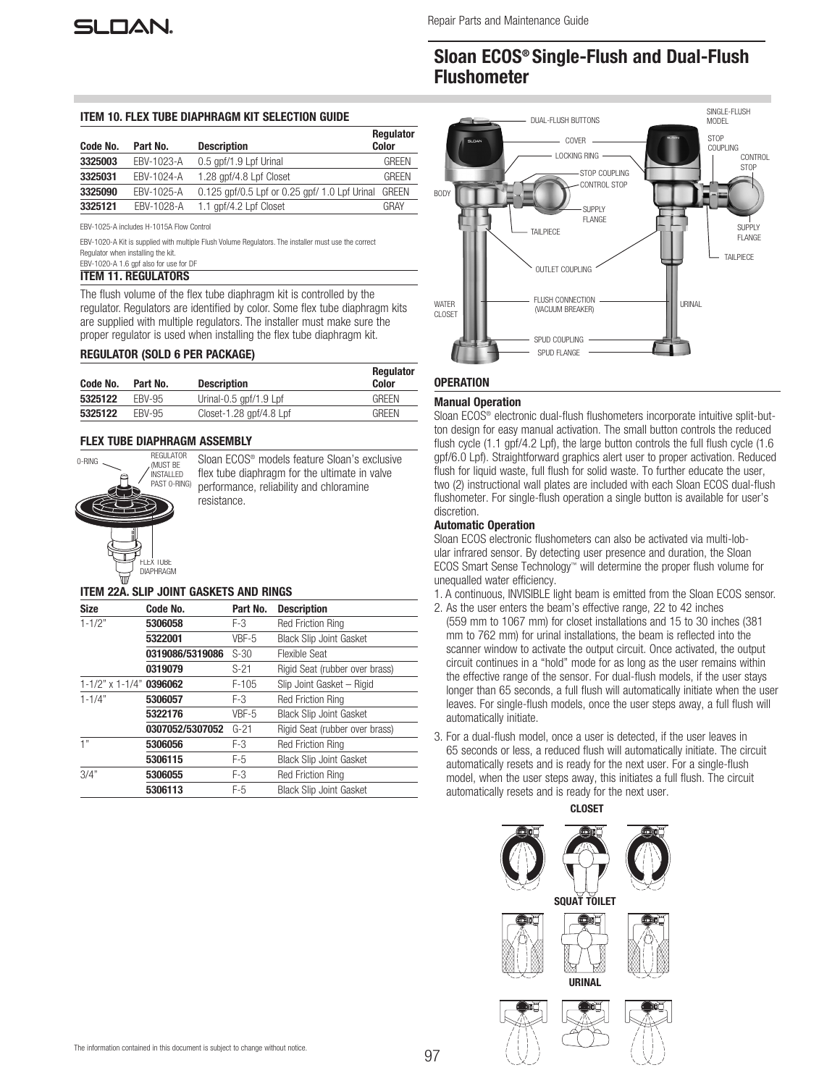## Sloan ECOS® Single-Flush and Dual-Flush Flushometer

#### ITEM 10. FLEX TUBE DIAPHRAGM KIT SELECTION GUIDE

| Code No. | Part No.   | <b>Description</b>                            | <b>Regulator</b><br><b>Color</b> |
|----------|------------|-----------------------------------------------|----------------------------------|
| 3325003  | EBV-1023-A | 0.5 gpf/1.9 Lpf Urinal                        | GREEN                            |
| 3325031  | EBV-1024-A | 1.28 gpf/4.8 Lpf Closet                       | GRFFN                            |
| 3325090  | EBV-1025-A | 0.125 gpf/0.5 Lpf or 0.25 gpf/ 1.0 Lpf Urinal | <b>GREEN</b>                     |
| 3325121  | EBV-1028-A | 1.1 gpf/4.2 Lpf Closet                        | GRAY                             |

EBV-1025-A includes H-1015A Flow Control

EBV-1020-A Kit is supplied with multiple Flush Volume Regulators. The installer must use the correct Regulator when installing the kit.

#### EBV-1020-A 1.6 gpf also for use for DF ITEM 11. REGULATORS

The flush volume of the flex tube diaphragm kit is controlled by the regulator. Regulators are identified by color. Some flex tube diaphragm kits are supplied with multiple regulators. The installer must make sure the proper regulator is used when installing the flex tube diaphragm kit.

## REGULATOR (SOLD 6 PER PACKAGE)

| Code No. | Part No.      | <b>Description</b>        | <b>Regulator</b><br>Color |
|----------|---------------|---------------------------|---------------------------|
| 5325122  | <b>FRV-95</b> | Urinal-0.5 gpf/1.9 Lpf    | <b>GREEN</b>              |
| 5325122  | <b>FRV-95</b> | Closet-1.28 gpf/4.8 $Lpf$ | <b>GREEN</b>              |

## FLEX TUBE DIAPHRAGM ASSEMBLY



Sloan ECOS® models feature Sloan's exclusive flex tube diaphragm for the ultimate in valve performance, reliability and chloramine

## ITEM 22A. SLIP JOINT GASKETS AND RINGS

| <b>Size</b>                   | Code No.        | Part No. | <b>Description</b>             |
|-------------------------------|-----------------|----------|--------------------------------|
| $1 - 1/2"$                    | 5306058         | F-3      | <b>Red Friction Ring</b>       |
|                               | 5322001         | VBF-5    | <b>Black Slip Joint Gasket</b> |
|                               | 0319086/5319086 | $S-30$   | <b>Flexible Seat</b>           |
|                               | 0319079         | $S-21$   | Rigid Seat (rubber over brass) |
| $1-1/2$ " x $1-1/4$ " 0396062 |                 | $F-105$  | Slip Joint Gasket - Rigid      |
| $1 - 1/4"$                    | 5306057         | F-3      | <b>Red Friction Ring</b>       |
|                               | 5322176         | VBF-5    | <b>Black Slip Joint Gasket</b> |
|                               | 0307052/5307052 | $G-21$   | Rigid Seat (rubber over brass) |
| 1"                            | 5306056         | F-3      | <b>Red Friction Ring</b>       |
|                               | 5306115         | $F-5$    | <b>Black Slip Joint Gasket</b> |
| 3/4"                          | 5306055         | $F-3$    | <b>Red Friction Ring</b>       |
|                               | 5306113         | F-5      | <b>Black Slip Joint Gasket</b> |



## **OPERATION**

#### Manual Operation

Sloan ECOS® electronic dual-flush flushometers incorporate intuitive split-button design for easy manual activation. The small button controls the reduced flush cycle (1.1 gpf/4.2 Lpf), the large button controls the full flush cycle (1.6 gpf/6.0 Lpf). Straightforward graphics alert user to proper activation. Reduced flush for liquid waste, full flush for solid waste. To further educate the user, two (2) instructional wall plates are included with each Sloan ECOS dual-flush flushometer. For single-flush operation a single button is available for user's discretion.

## Automatic Operation

Sloan ECOS electronic flushometers can also be activated via multi-lobular infrared sensor. By detecting user presence and duration, the Sloan ECOS Smart Sense Technology™ will determine the proper flush volume for unequalled water efficiency.

- 1. A continuous, INVISIBLE light beam is emitted from the Sloan ECOS sensor.
- 2. As the user enters the beam's effective range, 22 to 42 inches
- (559 mm to 1067 mm) for closet installations and 15 to 30 inches (381 mm to 762 mm) for urinal installations, the beam is reflected into the scanner window to activate the output circuit. Once activated, the output circuit continues in a "hold" mode for as long as the user remains within the effective range of the sensor. For dual-flush models, if the user stays longer than 65 seconds, a full flush will automatically initiate when the user leaves. For single-flush models, once the user steps away, a full flush will automatically initiate.
- 3. For a dual-flush model, once a user is detected, if the user leaves in 65 seconds or less, a reduced flush will automatically initiate. The circuit automatically resets and is ready for the next user. For a single-flush model, when the user steps away, this initiates a full flush. The circuit automatically resets and is ready for the next user.

CLOSET





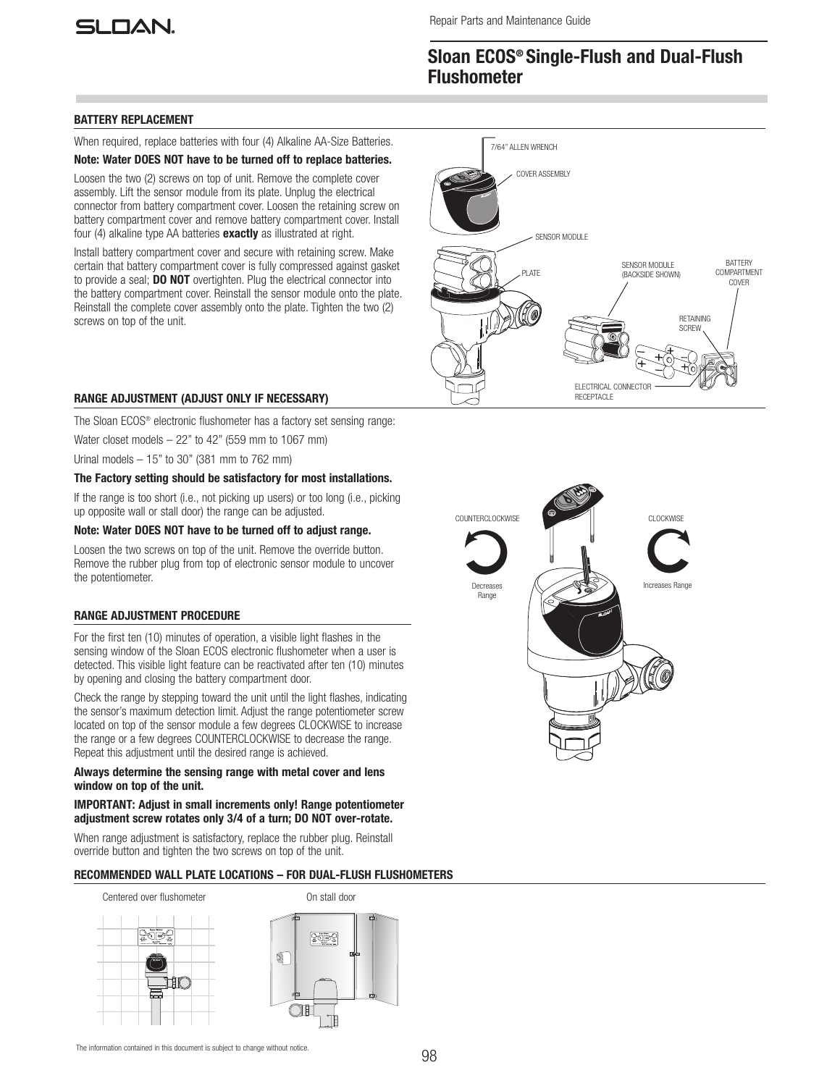# SI NAN.

## Sloan ECOS® Single-Flush and Dual-Flush **Flushometer**

## BATTERY REPLACEMENT

When required, replace batteries with four (4) Alkaline AA-Size Batteries.

## Note: Water DOES NOT have to be turned off to replace batteries.

Loosen the two (2) screws on top of unit. Remove the complete cover assembly. Lift the sensor module from its plate. Unplug the electrical connector from battery compartment cover. Loosen the retaining screw on battery compartment cover and remove battery compartment cover. Install four (4) alkaline type AA batteries **exactly** as illustrated at right.

Install battery compartment cover and secure with retaining screw. Make certain that battery compartment cover is fully compressed against gasket to provide a seal; DO NOT overtighten. Plug the electrical connector into the battery compartment cover. Reinstall the sensor module onto the plate. Reinstall the complete cover assembly onto the plate. Tighten the two (2) screws on top of the unit.



COUNTERCLOCKWISE **CLOCKWISE** CLOCKWISE

Increases Range

Decreases Range

## RANGE ADJUSTMENT (ADJUST ONLY IF NECESSARY)

The Sloan ECOS® electronic flushometer has a factory set sensing range:

Water closet models  $-22$ " to 42" (559 mm to 1067 mm)

Urinal models – 15" to 30" (381 mm to 762 mm)

## The Factory setting should be satisfactory for most installations.

If the range is too short (i.e., not picking up users) or too long (i.e., picking up opposite wall or stall door) the range can be adjusted.

## Note: Water DOES NOT have to be turned off to adjust range.

Loosen the two screws on top of the unit. Remove the override button. Remove the rubber plug from top of electronic sensor module to uncover the potentiometer.

## RANGE ADJUSTMENT PROCEDURE

For the first ten (10) minutes of operation, a visible light flashes in the sensing window of the Sloan ECOS electronic flushometer when a user is detected. This visible light feature can be reactivated after ten (10) minutes by opening and closing the battery compartment door.

Check the range by stepping toward the unit until the light flashes, indicating the sensor's maximum detection limit. Adjust the range potentiometer screw located on top of the sensor module a few degrees CLOCKWISE to increase the range or a few degrees COUNTERCLOCKWISE to decrease the range. Repeat this adjustment until the desired range is achieved.

## Always determine the sensing range with metal cover and lens window on top of the unit.

#### IMPORTANT: Adjust in small increments only! Range potentiometer adjustment screw rotates only 3/4 of a turn; DO NOT over-rotate.

When range adjustment is satisfactory, replace the rubber plug. Reinstall override button and tighten the two screws on top of the unit.

## RECOMMENDED WALL PLATE LOCATIONS – FOR DUAL-FLUSH FLUSHOMETERS